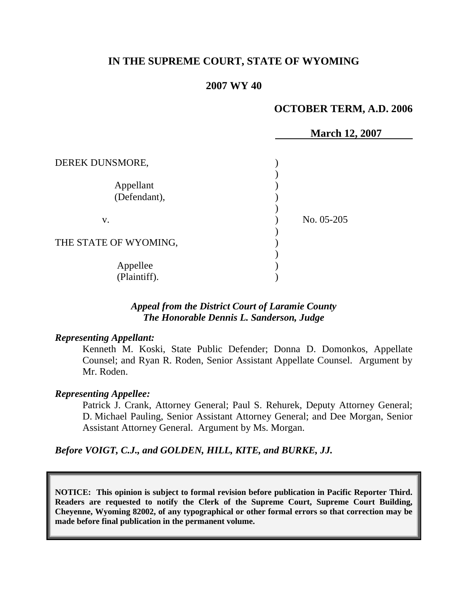# **IN THE SUPREME COURT, STATE OF WYOMING**

### **2007 WY 40**

## **OCTOBER TERM, A.D. 2006**

|                           | <b>March 12, 2007</b> |
|---------------------------|-----------------------|
| DEREK DUNSMORE,           |                       |
| Appellant<br>(Defendant), |                       |
| V.                        | No. 05-205            |
| THE STATE OF WYOMING,     |                       |
| Appellee<br>(Plaintiff).  |                       |

### *Appeal from the District Court of Laramie County The Honorable Dennis L. Sanderson, Judge*

#### *Representing Appellant:*

Kenneth M. Koski, State Public Defender; Donna D. Domonkos, Appellate Counsel; and Ryan R. Roden, Senior Assistant Appellate Counsel. Argument by Mr. Roden.

#### *Representing Appellee:*

Patrick J. Crank, Attorney General; Paul S. Rehurek, Deputy Attorney General; D. Michael Pauling, Senior Assistant Attorney General; and Dee Morgan, Senior Assistant Attorney General. Argument by Ms. Morgan.

*Before VOIGT, C.J., and GOLDEN, HILL, KITE, and BURKE, JJ.*

**NOTICE: This opinion is subject to formal revision before publication in Pacific Reporter Third. Readers are requested to notify the Clerk of the Supreme Court, Supreme Court Building, Cheyenne, Wyoming 82002, of any typographical or other formal errors so that correction may be made before final publication in the permanent volume.**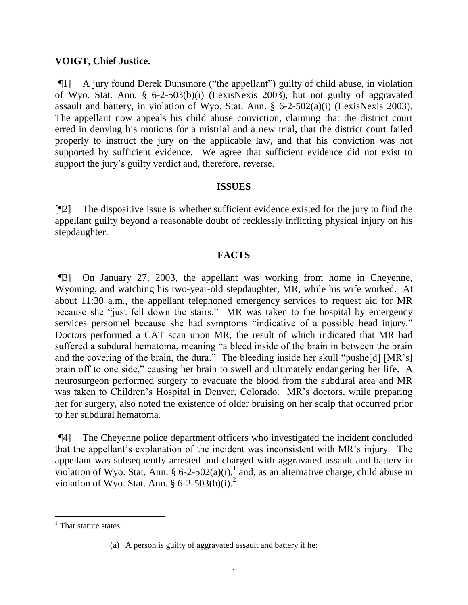### **VOIGT, Chief Justice.**

[¶1] A jury found Derek Dunsmore ("the appellant") guilty of child abuse, in violation of Wyo. Stat. Ann. § 6-2-503(b)(i) (LexisNexis 2003), but not guilty of aggravated assault and battery, in violation of Wyo. Stat. Ann. § 6-2-502(a)(i) (LexisNexis 2003). The appellant now appeals his child abuse conviction, claiming that the district court erred in denying his motions for a mistrial and a new trial, that the district court failed properly to instruct the jury on the applicable law, and that his conviction was not supported by sufficient evidence. We agree that sufficient evidence did not exist to support the jury's guilty verdict and, therefore, reverse.

#### **ISSUES**

[¶2] The dispositive issue is whether sufficient evidence existed for the jury to find the appellant guilty beyond a reasonable doubt of recklessly inflicting physical injury on his stepdaughter.

# **FACTS**

[¶3] On January 27, 2003, the appellant was working from home in Cheyenne, Wyoming, and watching his two-year-old stepdaughter, MR, while his wife worked. At about 11:30 a.m., the appellant telephoned emergency services to request aid for MR because she "just fell down the stairs." MR was taken to the hospital by emergency services personnel because she had symptoms "indicative of a possible head injury." Doctors performed a CAT scan upon MR, the result of which indicated that MR had suffered a subdural hematoma, meaning "a bleed inside of the brain in between the brain and the covering of the brain, the dura." The bleeding inside her skull "pushe[d] [MR's] brain off to one side," causing her brain to swell and ultimately endangering her life. A neurosurgeon performed surgery to evacuate the blood from the subdural area and MR was taken to Children's Hospital in Denver, Colorado. MR's doctors, while preparing her for surgery, also noted the existence of older bruising on her scalp that occurred prior to her subdural hematoma.

[¶4] The Cheyenne police department officers who investigated the incident concluded that the appellant's explanation of the incident was inconsistent with MR's injury. The appellant was subsequently arrested and charged with aggravated assault and battery in violation of Wyo. Stat. Ann. § 6-2-502(a)(i),<sup>1</sup> and, as an alternative charge, child abuse in violation of Wyo. Stat. Ann.  $\frac{8}{9}$  6-2-503(b)(i).<sup>2</sup>

 $<sup>1</sup>$  That statute states:</sup>

<sup>(</sup>a) A person is guilty of aggravated assault and battery if he: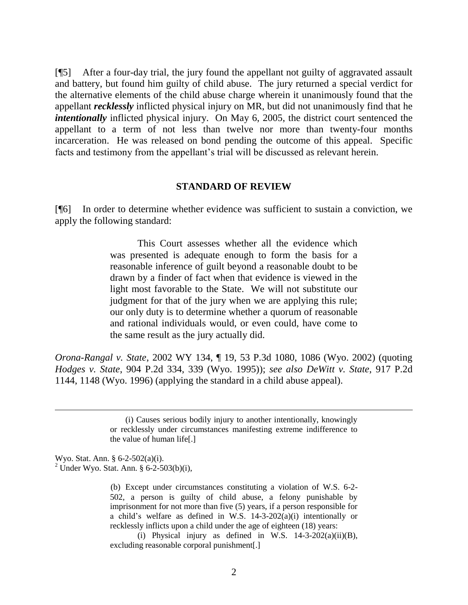[¶5] After a four-day trial, the jury found the appellant not guilty of aggravated assault and battery, but found him guilty of child abuse. The jury returned a special verdict for the alternative elements of the child abuse charge wherein it unanimously found that the appellant *recklessly* inflicted physical injury on MR, but did not unanimously find that he *intentionally* inflicted physical injury. On May 6, 2005, the district court sentenced the appellant to a term of not less than twelve nor more than twenty-four months incarceration. He was released on bond pending the outcome of this appeal. Specific facts and testimony from the appellant's trial will be discussed as relevant herein.

#### **STANDARD OF REVIEW**

[¶6] In order to determine whether evidence was sufficient to sustain a conviction, we apply the following standard:

> This Court assesses whether all the evidence which was presented is adequate enough to form the basis for a reasonable inference of guilt beyond a reasonable doubt to be drawn by a finder of fact when that evidence is viewed in the light most favorable to the State. We will not substitute our judgment for that of the jury when we are applying this rule; our only duty is to determine whether a quorum of reasonable and rational individuals would, or even could, have come to the same result as the jury actually did.

*Orona-Rangal v. State*, 2002 WY 134, ¶ 19, 53 P.3d 1080, 1086 (Wyo. 2002) (quoting *Hodges v. State*, 904 P.2d 334, 339 (Wyo. 1995)); *see also DeWitt v. State*, 917 P.2d 1144, 1148 (Wyo. 1996) (applying the standard in a child abuse appeal).

> (i) Causes serious bodily injury to another intentionally, knowingly or recklessly under circumstances manifesting extreme indifference to the value of human life[.]

Wyo. Stat. Ann. § 6-2-502(a)(i).

<sup>2</sup> Under Wyo. Stat. Ann. § 6-2-503(b)(i),

(b) Except under circumstances constituting a violation of W.S. 6-2- 502, a person is guilty of child abuse, a felony punishable by imprisonment for not more than five (5) years, if a person responsible for a child's welfare as defined in W.S. 14-3-202(a)(i) intentionally or recklessly inflicts upon a child under the age of eighteen (18) years:

(i) Physical injury as defined in W.S.  $14-3-202(a)(ii)(B)$ , excluding reasonable corporal punishment[.]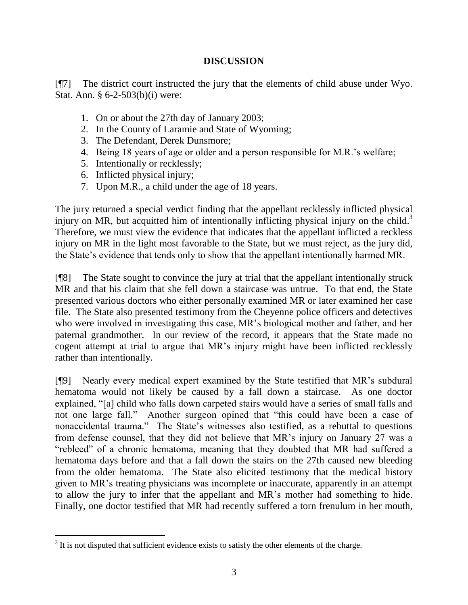## **DISCUSSION**

[¶7] The district court instructed the jury that the elements of child abuse under Wyo. Stat. Ann. § 6-2-503(b)(i) were:

- 1. On or about the 27th day of January 2003;
- 2. In the County of Laramie and State of Wyoming;
- 3. The Defendant, Derek Dunsmore;
- 4. Being 18 years of age or older and a person responsible for M.R.'s welfare;
- 5. Intentionally or recklessly;
- 6. Inflicted physical injury;

 $\overline{a}$ 

7. Upon M.R., a child under the age of 18 years.

The jury returned a special verdict finding that the appellant recklessly inflicted physical injury on MR, but acquitted him of intentionally inflicting physical injury on the child.<sup>3</sup> Therefore, we must view the evidence that indicates that the appellant inflicted a reckless injury on MR in the light most favorable to the State, but we must reject, as the jury did, the State's evidence that tends only to show that the appellant intentionally harmed MR.

[¶8] The State sought to convince the jury at trial that the appellant intentionally struck MR and that his claim that she fell down a staircase was untrue. To that end, the State presented various doctors who either personally examined MR or later examined her case file. The State also presented testimony from the Cheyenne police officers and detectives who were involved in investigating this case, MR's biological mother and father, and her paternal grandmother. In our review of the record, it appears that the State made no cogent attempt at trial to argue that MR's injury might have been inflicted recklessly rather than intentionally.

[¶9] Nearly every medical expert examined by the State testified that MR's subdural hematoma would not likely be caused by a fall down a staircase. As one doctor explained, "[a] child who falls down carpeted stairs would have a series of small falls and not one large fall." Another surgeon opined that "this could have been a case of nonaccidental trauma." The State's witnesses also testified, as a rebuttal to questions from defense counsel, that they did not believe that MR's injury on January 27 was a "rebleed" of a chronic hematoma, meaning that they doubted that MR had suffered a hematoma days before and that a fall down the stairs on the 27th caused new bleeding from the older hematoma. The State also elicited testimony that the medical history given to MR's treating physicians was incomplete or inaccurate, apparently in an attempt to allow the jury to infer that the appellant and MR's mother had something to hide. Finally, one doctor testified that MR had recently suffered a torn frenulum in her mouth,

 $3$  It is not disputed that sufficient evidence exists to satisfy the other elements of the charge.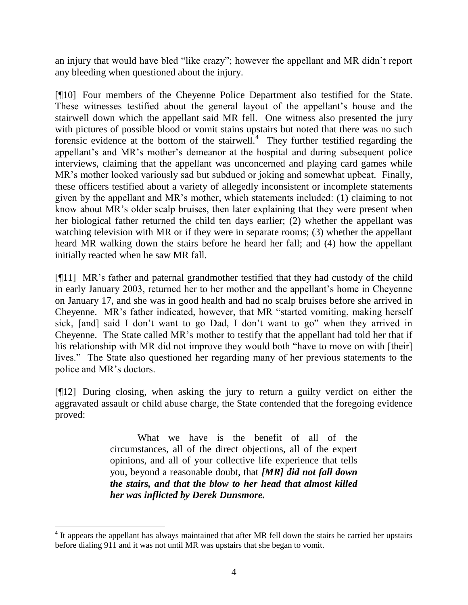an injury that would have bled "like crazy"; however the appellant and MR didn't report any bleeding when questioned about the injury.

[¶10] Four members of the Cheyenne Police Department also testified for the State. These witnesses testified about the general layout of the appellant's house and the stairwell down which the appellant said MR fell. One witness also presented the jury with pictures of possible blood or vomit stains upstairs but noted that there was no such forensic evidence at the bottom of the stairwell.<sup>4</sup> They further testified regarding the appellant's and MR's mother's demeanor at the hospital and during subsequent police interviews, claiming that the appellant was unconcerned and playing card games while MR's mother looked variously sad but subdued or joking and somewhat upbeat. Finally, these officers testified about a variety of allegedly inconsistent or incomplete statements given by the appellant and MR's mother, which statements included: (1) claiming to not know about MR's older scalp bruises, then later explaining that they were present when her biological father returned the child ten days earlier; (2) whether the appellant was watching television with MR or if they were in separate rooms; (3) whether the appellant heard MR walking down the stairs before he heard her fall; and (4) how the appellant initially reacted when he saw MR fall.

[¶11] MR's father and paternal grandmother testified that they had custody of the child in early January 2003, returned her to her mother and the appellant's home in Cheyenne on January 17, and she was in good health and had no scalp bruises before she arrived in Cheyenne. MR's father indicated, however, that MR "started vomiting, making herself sick, [and] said I don't want to go Dad, I don't want to go" when they arrived in Cheyenne. The State called MR's mother to testify that the appellant had told her that if his relationship with MR did not improve they would both "have to move on with [their] lives." The State also questioned her regarding many of her previous statements to the police and MR's doctors.

[¶12] During closing, when asking the jury to return a guilty verdict on either the aggravated assault or child abuse charge, the State contended that the foregoing evidence proved:

> What we have is the benefit of all of the circumstances, all of the direct objections, all of the expert opinions, and all of your collective life experience that tells you, beyond a reasonable doubt, that *[MR] did not fall down the stairs, and that the blow to her head that almost killed her was inflicted by Derek Dunsmore.*

<sup>&</sup>lt;sup>4</sup> It appears the appellant has always maintained that after MR fell down the stairs he carried her upstairs before dialing 911 and it was not until MR was upstairs that she began to vomit.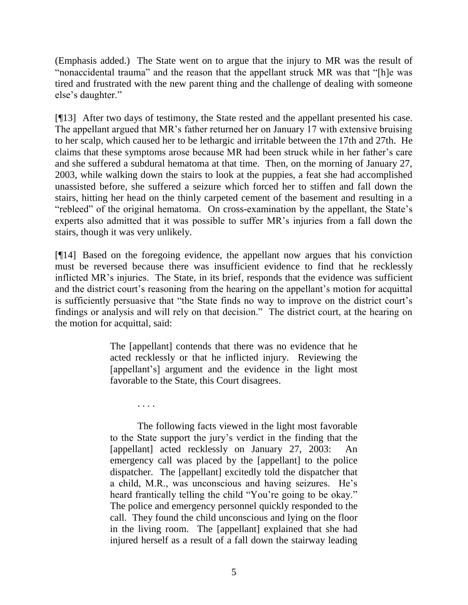(Emphasis added.) The State went on to argue that the injury to MR was the result of "nonaccidental trauma" and the reason that the appellant struck MR was that "[h]e was tired and frustrated with the new parent thing and the challenge of dealing with someone else's daughter."

[¶13] After two days of testimony, the State rested and the appellant presented his case. The appellant argued that MR's father returned her on January 17 with extensive bruising to her scalp, which caused her to be lethargic and irritable between the 17th and 27th. He claims that these symptoms arose because MR had been struck while in her father's care and she suffered a subdural hematoma at that time. Then, on the morning of January 27, 2003, while walking down the stairs to look at the puppies, a feat she had accomplished unassisted before, she suffered a seizure which forced her to stiffen and fall down the stairs, hitting her head on the thinly carpeted cement of the basement and resulting in a "rebleed" of the original hematoma. On cross-examination by the appellant, the State's experts also admitted that it was possible to suffer MR's injuries from a fall down the stairs, though it was very unlikely.

[¶14] Based on the foregoing evidence, the appellant now argues that his conviction must be reversed because there was insufficient evidence to find that he recklessly inflicted MR's injuries. The State, in its brief, responds that the evidence was sufficient and the district court's reasoning from the hearing on the appellant's motion for acquittal is sufficiently persuasive that "the State finds no way to improve on the district court's findings or analysis and will rely on that decision." The district court, at the hearing on the motion for acquittal, said:

> The [appellant] contends that there was no evidence that he acted recklessly or that he inflicted injury. Reviewing the [appellant's] argument and the evidence in the light most favorable to the State, this Court disagrees.

. . . .

The following facts viewed in the light most favorable to the State support the jury's verdict in the finding that the [appellant] acted recklessly on January 27, 2003: An emergency call was placed by the [appellant] to the police dispatcher. The [appellant] excitedly told the dispatcher that a child, M.R., was unconscious and having seizures. He's heard frantically telling the child "You're going to be okay." The police and emergency personnel quickly responded to the call. They found the child unconscious and lying on the floor in the living room. The [appellant] explained that she had injured herself as a result of a fall down the stairway leading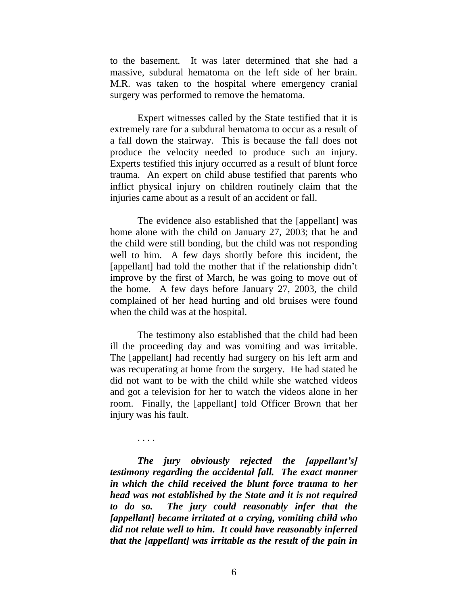to the basement. It was later determined that she had a massive, subdural hematoma on the left side of her brain. M.R. was taken to the hospital where emergency cranial surgery was performed to remove the hematoma.

Expert witnesses called by the State testified that it is extremely rare for a subdural hematoma to occur as a result of a fall down the stairway. This is because the fall does not produce the velocity needed to produce such an injury. Experts testified this injury occurred as a result of blunt force trauma. An expert on child abuse testified that parents who inflict physical injury on children routinely claim that the injuries came about as a result of an accident or fall.

The evidence also established that the [appellant] was home alone with the child on January 27, 2003; that he and the child were still bonding, but the child was not responding well to him. A few days shortly before this incident, the [appellant] had told the mother that if the relationship didn't improve by the first of March, he was going to move out of the home. A few days before January 27, 2003, the child complained of her head hurting and old bruises were found when the child was at the hospital.

The testimony also established that the child had been ill the proceeding day and was vomiting and was irritable. The [appellant] had recently had surgery on his left arm and was recuperating at home from the surgery. He had stated he did not want to be with the child while she watched videos and got a television for her to watch the videos alone in her room. Finally, the [appellant] told Officer Brown that her injury was his fault.

*The jury obviously rejected the [appellant's] testimony regarding the accidental fall. The exact manner in which the child received the blunt force trauma to her head was not established by the State and it is not required to do so. The jury could reasonably infer that the [appellant] became irritated at a crying, vomiting child who did not relate well to him. It could have reasonably inferred that the [appellant] was irritable as the result of the pain in* 

. . . .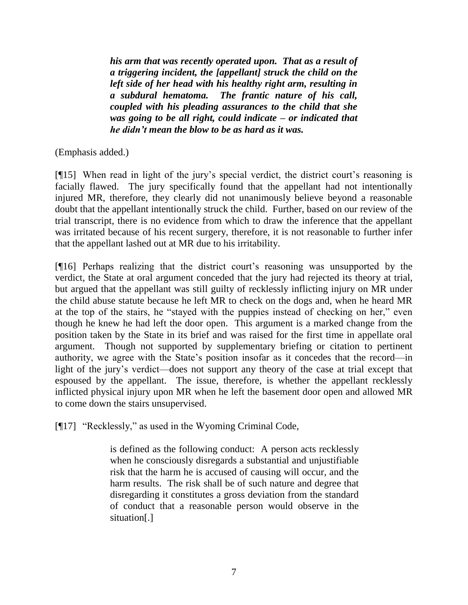*his arm that was recently operated upon. That as a result of a triggering incident, the [appellant] struck the child on the left side of her head with his healthy right arm, resulting in a subdural hematoma. The frantic nature of his call, coupled with his pleading assurances to the child that she was going to be all right, could indicate – or indicated that he didn't mean the blow to be as hard as it was.*

(Emphasis added.)

[¶15] When read in light of the jury's special verdict, the district court's reasoning is facially flawed. The jury specifically found that the appellant had not intentionally injured MR, therefore, they clearly did not unanimously believe beyond a reasonable doubt that the appellant intentionally struck the child. Further, based on our review of the trial transcript, there is no evidence from which to draw the inference that the appellant was irritated because of his recent surgery, therefore, it is not reasonable to further infer that the appellant lashed out at MR due to his irritability.

[¶16] Perhaps realizing that the district court's reasoning was unsupported by the verdict, the State at oral argument conceded that the jury had rejected its theory at trial, but argued that the appellant was still guilty of recklessly inflicting injury on MR under the child abuse statute because he left MR to check on the dogs and, when he heard MR at the top of the stairs, he "stayed with the puppies instead of checking on her," even though he knew he had left the door open. This argument is a marked change from the position taken by the State in its brief and was raised for the first time in appellate oral argument. Though not supported by supplementary briefing or citation to pertinent authority, we agree with the State's position insofar as it concedes that the record—in light of the jury's verdict—does not support any theory of the case at trial except that espoused by the appellant. The issue, therefore, is whether the appellant recklessly inflicted physical injury upon MR when he left the basement door open and allowed MR to come down the stairs unsupervised.

[¶17] "Recklessly," as used in the Wyoming Criminal Code,

is defined as the following conduct: A person acts recklessly when he consciously disregards a substantial and unjustifiable risk that the harm he is accused of causing will occur, and the harm results. The risk shall be of such nature and degree that disregarding it constitutes a gross deviation from the standard of conduct that a reasonable person would observe in the situation[.]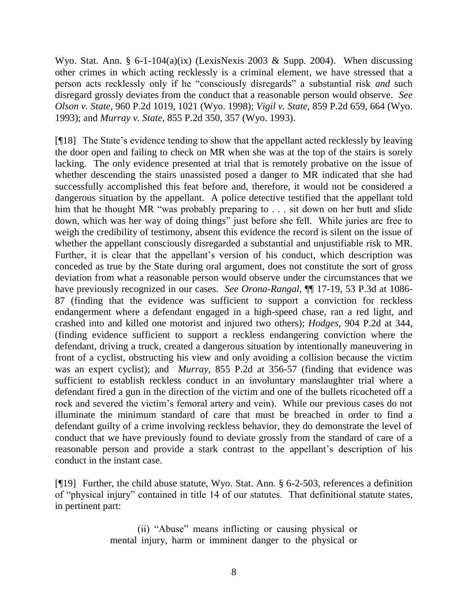Wyo. Stat. Ann. § 6-1-104(a)(ix) (LexisNexis 2003 & Supp. 2004). When discussing other crimes in which acting recklessly is a criminal element, we have stressed that a person acts recklessly only if he "consciously disregards" a substantial risk *and* such disregard grossly deviates from the conduct that a reasonable person would observe. *See Olson v. State*, 960 P.2d 1019, 1021 (Wyo. 1998); *Vigil v. State*, 859 P.2d 659, 664 (Wyo. 1993); and *Murray v. State*, 855 P.2d 350, 357 (Wyo. 1993).

[¶18] The State's evidence tending to show that the appellant acted recklessly by leaving the door open and failing to check on MR when she was at the top of the stairs is sorely lacking. The only evidence presented at trial that is remotely probative on the issue of whether descending the stairs unassisted posed a danger to MR indicated that she had successfully accomplished this feat before and, therefore, it would not be considered a dangerous situation by the appellant. A police detective testified that the appellant told him that he thought MR "was probably preparing to . . . sit down on her butt and slide down, which was her way of doing things" just before she fell. While juries are free to weigh the credibility of testimony, absent this evidence the record is silent on the issue of whether the appellant consciously disregarded a substantial and unjustifiable risk to MR. Further, it is clear that the appellant's version of his conduct, which description was conceded as true by the State during oral argument, does not constitute the sort of gross deviation from what a reasonable person would observe under the circumstances that we have previously recognized in our cases. *See Orona-Rangal*, ¶¶ 17-19, 53 P.3d at 1086- 87 (finding that the evidence was sufficient to support a conviction for reckless endangerment where a defendant engaged in a high-speed chase, ran a red light, and crashed into and killed one motorist and injured two others); *Hodges*, 904 P.2d at 344, (finding evidence sufficient to support a reckless endangering conviction where the defendant, driving a truck, created a dangerous situation by intentionally maneuvering in front of a cyclist, obstructing his view and only avoiding a collision because the victim was an expert cyclist); and *Murray*, 855 P.2d at 356-57 (finding that evidence was sufficient to establish reckless conduct in an involuntary manslaughter trial where a defendant fired a gun in the direction of the victim and one of the bullets ricocheted off a rock and severed the victim's femoral artery and vein). While our previous cases do not illuminate the minimum standard of care that must be breached in order to find a defendant guilty of a crime involving reckless behavior, they do demonstrate the level of conduct that we have previously found to deviate grossly from the standard of care of a reasonable person and provide a stark contrast to the appellant's description of his conduct in the instant case.

[¶19] Further, the child abuse statute, Wyo. Stat. Ann. § 6-2-503, references a definition of "physical injury" contained in title 14 of our statutes. That definitional statute states, in pertinent part:

> (ii) "Abuse" means inflicting or causing physical or mental injury, harm or imminent danger to the physical or